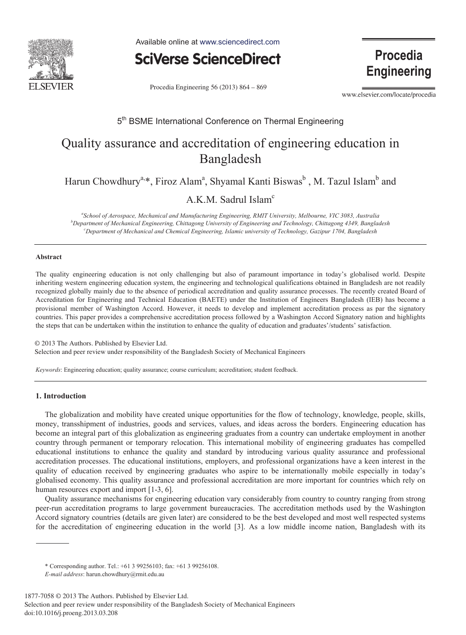

Available online at www.sciencedirect.com



**Procedia Engineering** 

Procedia Engineering 56 (2013) 864 - 869

www.elsevier.com/locate/procedia

### 5<sup>th</sup> BSME International Conference on Thermal Engineering

## Quality assurance and accreditation of engineering education in Bangladesh

Harun Chowdhury<sup>a,\*</sup>, Firoz Alam<sup>a</sup>, Shyamal Kanti Biswas<sup>b</sup>, M. Tazul Islam<sup>b</sup> and

A.K.M. Sadrul Islam<sup>c</sup>

<sup>a</sup>School of Aerospace, Mechanical and Manufacturing Engineering, RMIT University, Melbourne, VIC 3083, Australia<br><sup>b</sup>Donartwart of Mechanical Engineering, Chittagene University of Engineering and Technology, Chittagene, 42 *Department of Mechanical Engineering, Chittagong University of Engineering and Technology, Chittagong 4349, Bangladesh c Department of Mechanical and Chemical Engineering, Islamic university of Technology, Gazipur 1704, Bangladesh* 

#### **Abstract**

The quality engineering education is not only challenging but also of paramount importance in today's globalised world. Despite inheriting western engineering education system, the engineering and technological qualifications obtained in Bangladesh are not readily recognized globally mainly due to the absence of periodical accreditation and quality assurance processes. The recently created Board of Accreditation for Engineering and Technical Education (BAETE) under the Institution of Engineers Bangladesh (IEB) has become a provisional member of Washington Accord. However, it needs to develop and implement accreditation process as par the signatory countries. This paper provides a comprehensive accreditation process followed by a Washington Accord Signatory nation and highlights the steps that can be undertaken within the institution to enhance the quality of education and graduates'/students' satisfaction.

© 2013 The Authors. Published by Elsevier Ltd. Selection and peer review under responsibility of the Bangladesh Society of Mechanical Engineers

*Keywords*: Engineering education; quality assurance; course curriculum; accreditation; student feedback.

#### **1. Introduction**

The globalization and mobility have created unique opportunities for the flow of technology, knowledge, people, skills, money, transshipment of industries, goods and services, values, and ideas across the borders. Engineering education has become an integral part of this globalization as engineering graduates from a country can undertake employment in another country through permanent or temporary relocation. This international mobility of engineering graduates has compelled educational institutions to enhance the quality and standard by introducing various quality assurance and professional accreditation processes. The educational institutions, employers, and professional organizations have a keen interest in the quality of education received by engineering graduates who aspire to be internationally mobile especially in today's globalised economy. This quality assurance and professional accreditation are more important for countries which rely on human resources export and import [1-3, 6].

Quality assurance mechanisms for engineering education vary considerably from country to country ranging from strong peer-run accreditation programs to large government bureaucracies. The accreditation methods used by the Washington Accord signatory countries (details are given later) are considered to be the best developed and most well respected systems for the accreditation of engineering education in the world [3]. As a low middle income nation, Bangladesh with its

<sup>\*</sup> Corresponding author. Tel.: +61 3 99256103; fax: +61 3 99256108.

*E-mail address*: harun.chowdhury@rmit.edu.au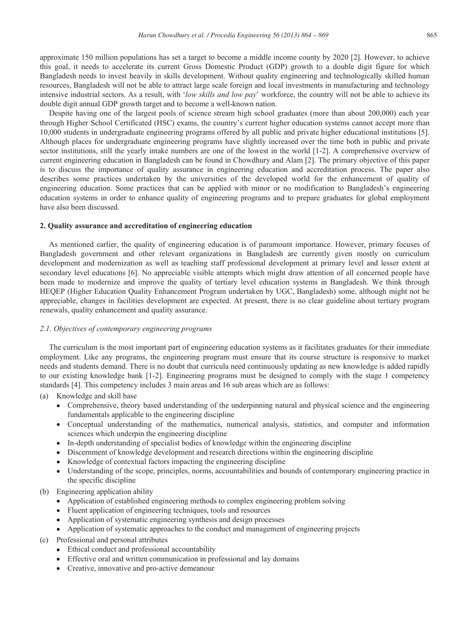approximate 150 million populations has set a target to become a middle income county by 2020 [2]. However, to achieve this goal, it needs to accelerate its current Gross Domestic Product (GDP) growth to a double digit figure for which Bangladesh needs to invest heavily in skills development. Without quality engineering and technologically skilled human resources, Bangladesh will not be able to attract large scale foreign and local investments in manufacturing and technology intensive industrial sectors. As a result, with '*low skills and low pay*' workforce, the country will not be able to achieve its double digit annual GDP growth target and to become a well-known nation.

Despite having one of the largest pools of science stream high school graduates (more than about 200,000) each year through Higher School Certificated (HSC) exams, the country's current higher education systems cannot accept more than 10,000 students in undergraduate engineering programs offered by all public and private higher educational institutions [5]. Although places for undergraduate engineering programs have slightly increased over the time both in public and private sector institutions, still the yearly intake numbers are one of the lowest in the world [1-2]. A comprehensive overview of current engineering education in Bangladesh can be found in Chowdhury and Alam [2]. The primary objective of this paper is to discuss the importance of quality assurance in engineering education and accreditation process. The paper also describes some practices undertaken by the universities of the developed world for the enhancement of quality of engineering education. Some practices that can be applied with minor or no modification to Bangladesh's engineering education systems in order to enhance quality of engineering programs and to prepare graduates for global employment have also been discussed.

#### **2. Quality assurance and accreditation of engineering education**

As mentioned earlier, the quality of engineering education is of paramount importance. However, primary focuses of Bangladesh government and other relevant organizations in Bangladesh are currently given mostly on curriculum development and modernization as well as teaching staff professional development at primary level and lesser extent at secondary level educations [6]. No appreciable visible attempts which might draw attention of all concerned people have been made to modernize and improve the quality of tertiary level education systems in Bangladesh. We think through HEQEP (Higher Education Quality Enhancement Program undertaken by UGC, Bangladesh) some, although might not be appreciable, changes in facilities development are expected. At present, there is no clear guideline about tertiary program renewals, quality enhancement and quality assurance.

#### *2.1. Objectives of contemporary engineering programs*

The curriculum is the most important part of engineering education systems as it facilitates graduates for their immediate employment. Like any programs, the engineering program must ensure that its course structure is responsive to market needs and students demand. There is no doubt that curricula need continuously updating as new knowledge is added rapidly to our existing knowledge bank [1-2]. Engineering programs must be designed to comply with the stage 1 competency standards [4]. This competency includes 3 main areas and 16 sub areas which are as follows:

(a) Knowledge and skill base

- Comprehensive, theory based understanding of the underpinning natural and physical science and the engineering fundamentals applicable to the engineering discipline
- Conceptual understanding of the mathematics, numerical analysis, statistics, and computer and information sciences which underpin the engineering discipline
- In-depth understanding of specialist bodies of knowledge within the engineering discipline
- Discernment of knowledge development and research directions within the engineering discipline
- Knowledge of contextual factors impacting the engineering discipline
- Understanding of the scope, principles, norms, accountabilities and bounds of contemporary engineering practice in the specific discipline
- (b) Engineering application ability
	- Application of established engineering methods to complex engineering problem solving
	- Fluent application of engineering techniques, tools and resources
	- Application of systematic engineering synthesis and design processes
	- Application of systematic approaches to the conduct and management of engineering projects
- (c) Professional and personal attributes
	- Ethical conduct and professional accountability
	- Effective oral and written communication in professional and lay domains
	- Creative, innovative and pro-active demeanour